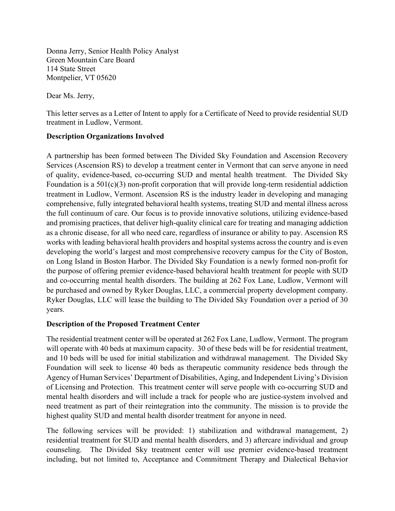Donna Jerry, Senior Health Policy Analyst Green Mountain Care Board 114 State Street Montpelier, VT 05620

Dear Ms. Jerry,

This letter serves as a Letter of Intent to apply for a Certificate of Need to provide residential SUD treatment in Ludlow, Vermont.

## Description Organizations Involved

A partnership has been formed between The Divided Sky Foundation and Ascension Recovery Services (Ascension RS) to develop a treatment center in Vermont that can serve anyone in need of quality, evidence-based, co-occurring SUD and mental health treatment. The Divided Sky Foundation is a 501(c)(3) non-profit corporation that will provide long-term residential addiction treatment in Ludlow, Vermont. Ascension RS is the industry leader in developing and managing comprehensive, fully integrated behavioral health systems, treating SUD and mental illness across the full continuum of care. Our focus is to provide innovative solutions, utilizing evidence-based and promising practices, that deliver high-quality clinical care for treating and managing addiction as a chronic disease, for all who need care, regardless of insurance or ability to pay. Ascension RS works with leading behavioral health providers and hospital systems across the country and is even developing the world's largest and most comprehensive recovery campus for the City of Boston, on Long Island in Boston Harbor. The Divided Sky Foundation is a newly formed non-profit for the purpose of offering premier evidence-based behavioral health treatment for people with SUD and co-occurring mental health disorders. The building at 262 Fox Lane, Ludlow, Vermont will be purchased and owned by Ryker Douglas, LLC, a commercial property development company. Ryker Douglas, LLC will lease the building to The Divided Sky Foundation over a period of 30 years.

## Description of the Proposed Treatment Center

The residential treatment center will be operated at 262 Fox Lane, Ludlow, Vermont. The program will operate with 40 beds at maximum capacity. 30 of these beds will be for residential treatment, and 10 beds will be used for initial stabilization and withdrawal management. The Divided Sky Foundation will seek to license 40 beds as therapeutic community residence beds through the Agency of Human Services' Department of Disabilities, Aging, and Independent Living's Division of Licensing and Protection. This treatment center will serve people with co-occurring SUD and mental health disorders and will include a track for people who are justice-system involved and need treatment as part of their reintegration into the community. The mission is to provide the highest quality SUD and mental health disorder treatment for anyone in need.

The following services will be provided: 1) stabilization and withdrawal management, 2) residential treatment for SUD and mental health disorders, and 3) aftercare individual and group counseling. The Divided Sky treatment center will use premier evidence-based treatment including, but not limited to, Acceptance and Commitment Therapy and Dialectical Behavior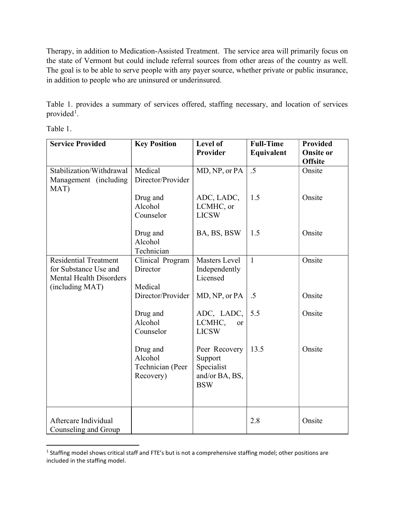Therapy, in addition to Medication-Assisted Treatment. The service area will primarily focus on the state of Vermont but could include referral sources from other areas of the country as well. The goal is to be able to serve people with any payer source, whether private or public insurance, in addition to people who are uninsured or underinsured.

Table 1. provides a summary of services offered, staffing necessary, and location of services provided<sup>1</sup>.

| able |  |
|------|--|
|      |  |

| <b>Service Provided</b>                                                                 | <b>Key Position</b>                                  | Level of                                                               | <b>Full-Time</b> | <b>Provided</b>                    |
|-----------------------------------------------------------------------------------------|------------------------------------------------------|------------------------------------------------------------------------|------------------|------------------------------------|
|                                                                                         |                                                      | <b>Provider</b>                                                        | Equivalent       | <b>Onsite or</b><br><b>Offsite</b> |
| Stabilization/Withdrawal<br>Management (including                                       | Medical<br>Director/Provider                         | MD, NP, or PA                                                          | .5               | Onsite                             |
| MAT)                                                                                    | Drug and                                             | ADC, LADC,                                                             | 1.5              | Onsite                             |
|                                                                                         | Alcohol<br>Counselor                                 | LCMHC, or<br><b>LICSW</b>                                              |                  |                                    |
|                                                                                         | Drug and                                             | BA, BS, BSW                                                            | 1.5              | Onsite                             |
|                                                                                         | Alcohol<br>Technician                                |                                                                        |                  |                                    |
| <b>Residential Treatment</b><br>for Substance Use and<br><b>Mental Health Disorders</b> | Clinical Program<br>Director                         | Masters Level<br>Independently<br>Licensed                             | $\mathbf{1}$     | Onsite                             |
| (including MAT)                                                                         | Medical<br>Director/Provider                         | MD, NP, or PA                                                          | .5               | Onsite                             |
|                                                                                         | Drug and<br>Alcohol<br>Counselor                     | ADC, LADC,<br>LCMHC,<br>or<br><b>LICSW</b>                             | 5.5              | Onsite                             |
|                                                                                         | Drug and<br>Alcohol<br>Technician (Peer<br>Recovery) | Peer Recovery<br>Support<br>Specialist<br>and/or BA, BS,<br><b>BSW</b> | 13.5             | Onsite                             |
| Aftercare Individual<br>Counseling and Group                                            |                                                      |                                                                        | 2.8              | Onsite                             |

<sup>&</sup>lt;sup>1</sup> Staffing model shows critical staff and FTE's but is not a comprehensive staffing model; other positions are included in the staffing model.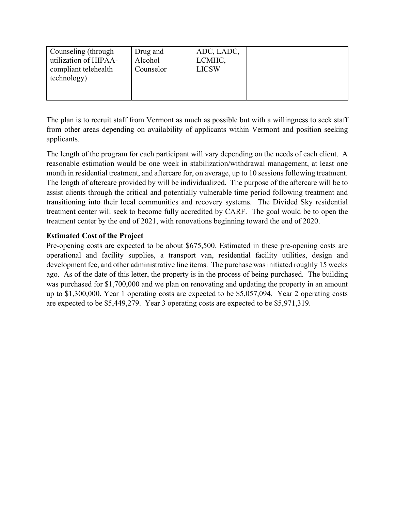| Counseling (through<br>utilization of HIPAA-<br>compliant telehealth<br>technology) | Drug and<br>Alcohol<br>Counselor | ADC, LADC,<br>LCMHC,<br><b>LICSW</b> |  |
|-------------------------------------------------------------------------------------|----------------------------------|--------------------------------------|--|
|                                                                                     |                                  |                                      |  |

The plan is to recruit staff from Vermont as much as possible but with a willingness to seek staff from other areas depending on availability of applicants within Vermont and position seeking applicants.

The length of the program for each participant will vary depending on the needs of each client. A reasonable estimation would be one week in stabilization/withdrawal management, at least one month in residential treatment, and aftercare for, on average, up to 10 sessions following treatment. The length of aftercare provided by will be individualized. The purpose of the aftercare will be to assist clients through the critical and potentially vulnerable time period following treatment and transitioning into their local communities and recovery systems. The Divided Sky residential treatment center will seek to become fully accredited by CARF. The goal would be to open the treatment center by the end of 2021, with renovations beginning toward the end of 2020.

## Estimated Cost of the Project

Pre-opening costs are expected to be about \$675,500. Estimated in these pre-opening costs are operational and facility supplies, a transport van, residential facility utilities, design and development fee, and other administrative line items. The purchase was initiated roughly 15 weeks ago. As of the date of this letter, the property is in the process of being purchased. The building was purchased for \$1,700,000 and we plan on renovating and updating the property in an amount up to \$1,300,000. Year 1 operating costs are expected to be \$5,057,094. Year 2 operating costs are expected to be \$5,449,279. Year 3 operating costs are expected to be \$5,971,319.